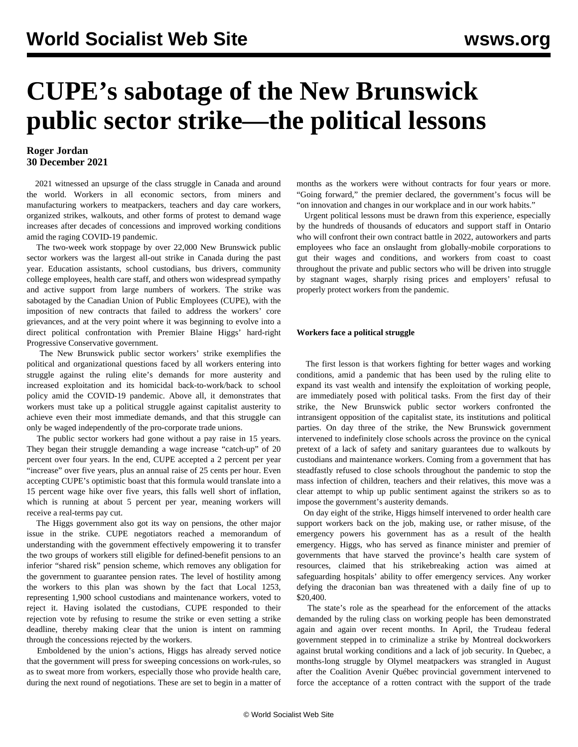# **CUPE's sabotage of the New Brunswick public sector strike—the political lessons**

## **Roger Jordan 30 December 2021**

 2021 witnessed an upsurge of the class struggle in Canada and around the world. Workers in all economic sectors, from miners and manufacturing workers to meatpackers, teachers and day care workers, organized strikes, walkouts, and other forms of protest to demand wage increases after decades of concessions and improved working conditions amid the raging COVID-19 pandemic.

 The two-week work stoppage by over 22,000 New Brunswick public sector workers was the largest all-out strike in Canada during the past year. Education assistants, school custodians, bus drivers, community college employees, health care staff, and others won widespread sympathy and active support from large numbers of workers. The strike was sabotaged by the Canadian Union of Public Employees (CUPE), with the imposition of new contracts that failed to address the workers' core grievances, and at the very point where it was beginning to evolve into a direct political confrontation with Premier Blaine Higgs' hard-right Progressive Conservative government.

 The New Brunswick public sector workers' strike exemplifies the political and organizational questions faced by all workers entering into struggle against the ruling elite's demands for more austerity and increased exploitation and its homicidal back-to-work/back to school policy amid the COVID-19 pandemic. Above all, it demonstrates that workers must take up a political struggle against capitalist austerity to achieve even their most immediate demands, and that this struggle can only be waged independently of the pro-corporate trade unions.

 The public sector workers had gone without a pay raise in 15 years. They began their struggle demanding a wage increase "catch-up" of 20 percent over four years. In the end, CUPE accepted a 2 percent per year "increase" over five years, plus an annual raise of 25 cents per hour. Even accepting CUPE's optimistic boast that this formula would translate into a 15 percent wage hike over five years, this falls well short of inflation, which is running at about 5 percent per year, meaning workers will receive a real-terms pay cut.

 The Higgs government also got its way on pensions, the other major issue in the strike. CUPE negotiators reached a memorandum of understanding with the government effectively empowering it to transfer the two groups of workers still eligible for defined-benefit pensions to an inferior "shared risk" pension scheme, which removes any obligation for the government to guarantee pension rates. The level of hostility among the workers to this plan was shown by the fact that Local 1253, representing 1,900 school custodians and maintenance workers, voted to reject it. Having isolated the custodians, CUPE responded to their rejection vote by refusing to resume the strike or even setting a strike deadline, thereby making clear that the union is intent on ramming through the concessions rejected by the workers.

 Emboldened by the union's actions, Higgs has already served notice that the government will press for sweeping concessions on work-rules, so as to sweat more from workers, especially those who provide health care, during the next round of negotiations. These are set to begin in a matter of months as the workers were without contracts for four years or more. "Going forward," the premier declared, the government's focus will be "on innovation and changes in our workplace and in our work habits."

 Urgent political lessons must be drawn from this experience, especially by the hundreds of thousands of educators and support staff in Ontario who will confront their own contract battle in 2022, autoworkers and parts employees who face an onslaught from globally-mobile corporations to gut their wages and conditions, and workers from coast to coast throughout the private and public sectors who will be driven into struggle by stagnant wages, sharply rising prices and employers' refusal to properly protect workers from the pandemic.

#### **Workers face a political struggle**

 The first lesson is that workers fighting for better wages and working conditions, amid a pandemic that has been used by the ruling elite to expand its vast wealth and intensify the exploitation of working people, are immediately posed with political tasks. From the first day of their strike, the New Brunswick public sector workers confronted the intransigent opposition of the capitalist state, its institutions and political parties. On day three of the strike, the New Brunswick government intervened to indefinitely close schools across the province on the cynical pretext of a lack of safety and sanitary guarantees due to walkouts by custodians and maintenance workers. Coming from a government that has steadfastly refused to close schools throughout the pandemic to stop the mass infection of children, teachers and their relatives, this move was a clear attempt to whip up public sentiment against the strikers so as to impose the government's austerity demands.

 On day eight of the strike, Higgs himself intervened to order health care support workers back on the job, making use, or rather misuse, of the emergency powers his government has as a result of the health emergency. Higgs, who has served as finance minister and premier of governments that have starved the province's health care system of resources, claimed that his strikebreaking action was aimed at safeguarding hospitals' ability to offer emergency services. Any worker defying the draconian ban was threatened with a daily fine of up to \$20,400.

 The state's role as the spearhead for the enforcement of the attacks demanded by the ruling class on working people has been demonstrated again and again over recent months. In April, the Trudeau federal government stepped in to criminalize a strike by Montreal dockworkers against brutal working conditions and a lack of job security. In Quebec, a months-long struggle by Olymel meatpackers was strangled in August after the Coalition Avenir Québec provincial government intervened to force the acceptance of a rotten contract with the support of the trade